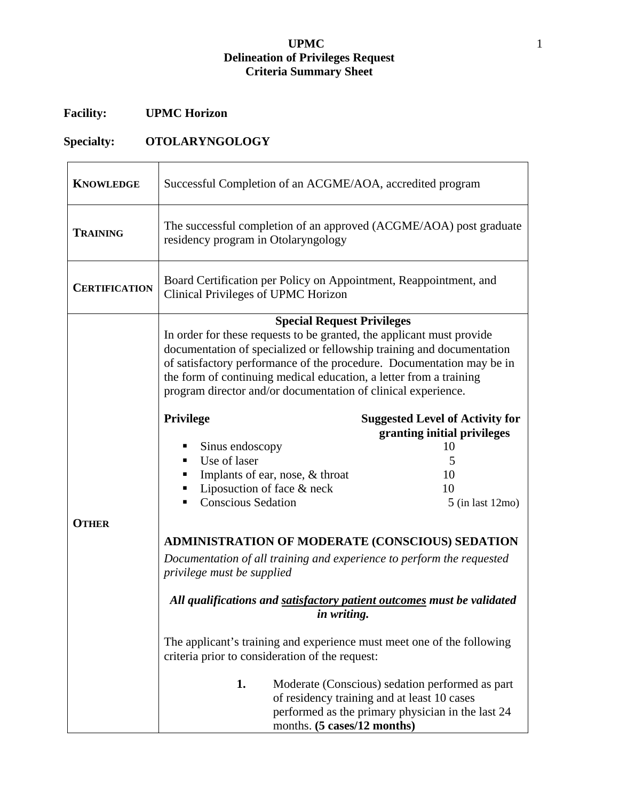## **UPMC** 1 **Delineation of Privileges Request Criteria Summary Sheet**

## **Facility: UPMC Horizon**

## **Specialty: OTOLARYNGOLOGY**

| <b>KNOWLEDGE</b>     | Successful Completion of an ACGME/AOA, accredited program                                                                                                                                                                                                                                                                                                                                                                                                                                                                                                                                                                                                                                                                                                                                                                                                                                                                                                                 |                                                                                                                                                                       |
|----------------------|---------------------------------------------------------------------------------------------------------------------------------------------------------------------------------------------------------------------------------------------------------------------------------------------------------------------------------------------------------------------------------------------------------------------------------------------------------------------------------------------------------------------------------------------------------------------------------------------------------------------------------------------------------------------------------------------------------------------------------------------------------------------------------------------------------------------------------------------------------------------------------------------------------------------------------------------------------------------------|-----------------------------------------------------------------------------------------------------------------------------------------------------------------------|
| <b>TRAINING</b>      | The successful completion of an approved (ACGME/AOA) post graduate<br>residency program in Otolaryngology                                                                                                                                                                                                                                                                                                                                                                                                                                                                                                                                                                                                                                                                                                                                                                                                                                                                 |                                                                                                                                                                       |
| <b>CERTIFICATION</b> | Board Certification per Policy on Appointment, Reappointment, and<br>Clinical Privileges of UPMC Horizon                                                                                                                                                                                                                                                                                                                                                                                                                                                                                                                                                                                                                                                                                                                                                                                                                                                                  |                                                                                                                                                                       |
| <b>OTHER</b>         | <b>Special Request Privileges</b><br>In order for these requests to be granted, the applicant must provide<br>documentation of specialized or fellowship training and documentation<br>of satisfactory performance of the procedure. Documentation may be in<br>the form of continuing medical education, a letter from a training<br>program director and/or documentation of clinical experience.<br><b>Privilege</b><br>Sinus endoscopy<br>п<br>Use of laser<br>٠<br>Implants of ear, nose, & throat<br>٠<br>Liposuction of face & neck<br>ш<br><b>Conscious Sedation</b><br><b>ADMINISTRATION OF MODERATE (CONSCIOUS) SEDATION</b><br>Documentation of all training and experience to perform the requested<br>privilege must be supplied<br>All qualifications and satisfactory patient outcomes must be validated<br>in writing.<br>The applicant's training and experience must meet one of the following<br>criteria prior to consideration of the request:<br>1. | <b>Suggested Level of Activity for</b><br>granting initial privileges<br>10<br>5<br>10<br>10<br>$5$ (in last 12mo)<br>Moderate (Conscious) sedation performed as part |
|                      | of residency training and at least 10 cases<br>months. (5 cases/12 months)                                                                                                                                                                                                                                                                                                                                                                                                                                                                                                                                                                                                                                                                                                                                                                                                                                                                                                | performed as the primary physician in the last 24                                                                                                                     |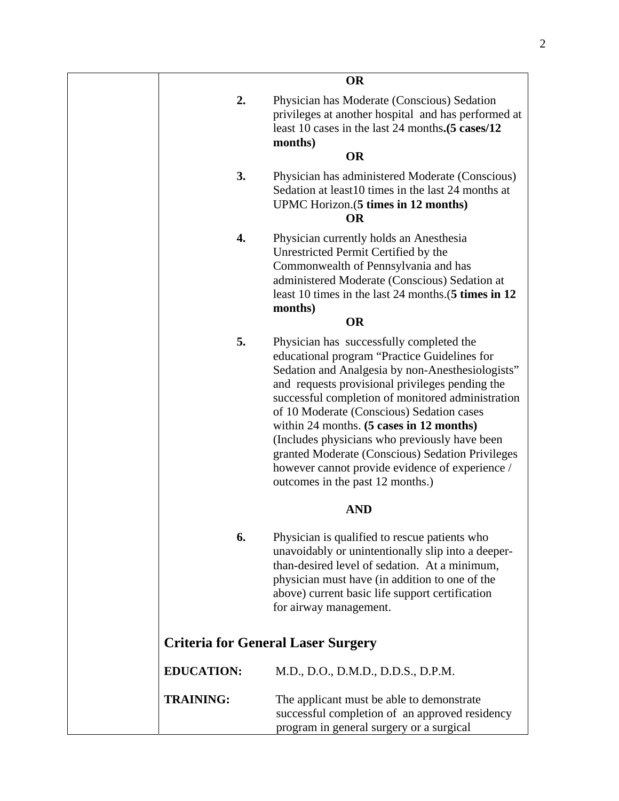|                   | <b>OR</b>                                                                                                                                                                                                                                                                                                                                                                                                                                                                                                                                                    |
|-------------------|--------------------------------------------------------------------------------------------------------------------------------------------------------------------------------------------------------------------------------------------------------------------------------------------------------------------------------------------------------------------------------------------------------------------------------------------------------------------------------------------------------------------------------------------------------------|
| 2.                | Physician has Moderate (Conscious) Sedation<br>privileges at another hospital and has performed at<br>least 10 cases in the last 24 months. (5 cases/12<br>months)                                                                                                                                                                                                                                                                                                                                                                                           |
|                   | <b>OR</b>                                                                                                                                                                                                                                                                                                                                                                                                                                                                                                                                                    |
| 3.                | Physician has administered Moderate (Conscious)<br>Sedation at least 10 times in the last 24 months at<br>UPMC Horizon. (5 times in 12 months)<br><b>OR</b>                                                                                                                                                                                                                                                                                                                                                                                                  |
| 4.                | Physician currently holds an Anesthesia<br>Unrestricted Permit Certified by the<br>Commonwealth of Pennsylvania and has<br>administered Moderate (Conscious) Sedation at<br>least 10 times in the last 24 months. (5 times in 12<br>months)                                                                                                                                                                                                                                                                                                                  |
|                   | <b>OR</b>                                                                                                                                                                                                                                                                                                                                                                                                                                                                                                                                                    |
| 5.                | Physician has successfully completed the<br>educational program "Practice Guidelines for<br>Sedation and Analgesia by non-Anesthesiologists"<br>and requests provisional privileges pending the<br>successful completion of monitored administration<br>of 10 Moderate (Conscious) Sedation cases<br>within 24 months. $(5 \text{ cases in } 12 \text{ months})$<br>(Includes physicians who previously have been<br>granted Moderate (Conscious) Sedation Privileges<br>however cannot provide evidence of experience /<br>outcomes in the past 12 months.) |
|                   | <b>AND</b>                                                                                                                                                                                                                                                                                                                                                                                                                                                                                                                                                   |
| 6.                | Physician is qualified to rescue patients who<br>unavoidably or unintentionally slip into a deeper-<br>than-desired level of sedation. At a minimum,<br>physician must have (in addition to one of the<br>above) current basic life support certification<br>for airway management.                                                                                                                                                                                                                                                                          |
|                   | <b>Criteria for General Laser Surgery</b>                                                                                                                                                                                                                                                                                                                                                                                                                                                                                                                    |
| <b>EDUCATION:</b> | M.D., D.O., D.M.D., D.D.S., D.P.M.                                                                                                                                                                                                                                                                                                                                                                                                                                                                                                                           |
| <b>TRAINING:</b>  | The applicant must be able to demonstrate<br>successful completion of an approved residency<br>program in general surgery or a surgical                                                                                                                                                                                                                                                                                                                                                                                                                      |